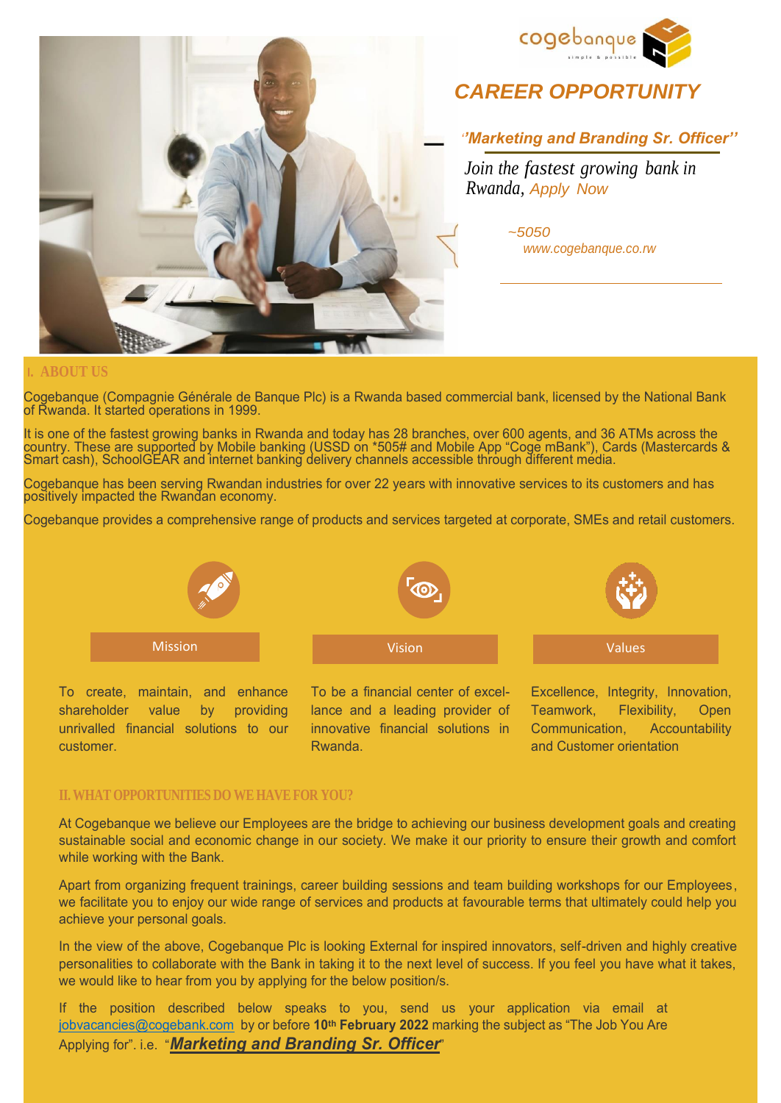



# *CAREER OPPORTUNIT*

 *''Marketing and Branding Sr. Officer''*

*Join the fastest growing bank in Rwanda, Apply Now* 

> *~5050 [www.cogebanque.co.rw](http://www.cogebanque.co.rw/)*

### **I. ABOUT US**

Cogebanque (Compagnie Générale de Banque Plc) is a Rwanda based commercial bank, licensed by the National Bank of Rwanda. It started operations in 1999.

It is one of the fastest growing banks in Rwanda and today has 28 branches, over 600 agents, and 36 ATMs across the country. These are supported by Mobile banking (USSD on \*505# and Mobile App "Coge mBank"), Cards (Mastercards & Smart cash), SchoolGEAR and internet banking delivery channels accessible through different media.

Cogebanque has been serving Rwandan industries for over 22 years with innovative services to its customers and has positively impacted the Rwandan economy.

Cogebanque provides a comprehensive range of products and services targeted at corporate, SMEs and retail customers.



To create, maintain, and enhance shareholder value by providing unrivalled financial solutions to our customer.

To be a financial center of excellance and a leading provider of innovative financial solutions in Rwanda.

Excellence, Integrity, Innovation, Teamwork, Flexibility, Open Communication, Accountability and Customer orientation

### **II. WHAT OPPORTUNITIES DO WE HAVE FOR YOU?**

At Cogebanque we believe our Employees are the bridge to achieving our business development goals and creating sustainable social and economic change in our society. We make it our priority to ensure their growth and comfort while working with the Bank.

Apart from organizing frequent trainings, career building sessions and team building workshops for our Employees, we facilitate you to enjoy our wide range of services and products at favourable terms that ultimately could help you achieve your personal goals.

In the view of the above, Cogebanque Plc is looking External for inspired innovators, self-driven and highly creative personalities to collaborate with the Bank in taking it to the next level of success. If you feel you have what it takes, we would like to hear from you by applying for the below position/s.

If the position described below speaks to you, send us your application via email at [jobvacancies@cogebank.com](mailto:jobvacancies@cogebank.com) by or before **10th February 2022** marking the subject as "The Job You Are Applying for". i.e. "*Marketing and Branding Sr. Officer*"